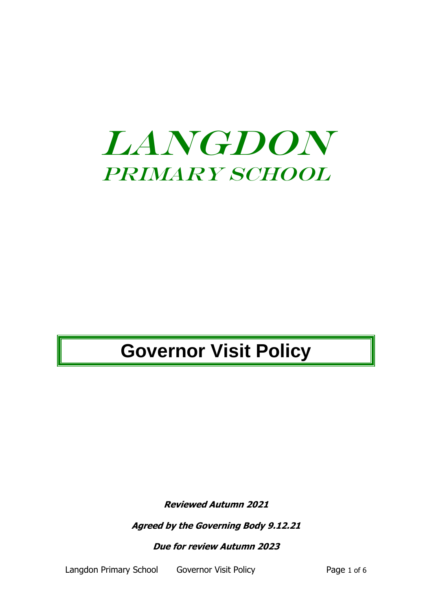

# **Governor Visit Policy**

**Reviewed Autumn 2021**

**Agreed by the Governing Body 9.12.21**

**Due for review Autumn 2023**

Langdon Primary School Governor Visit Policy **Page 1 of 6**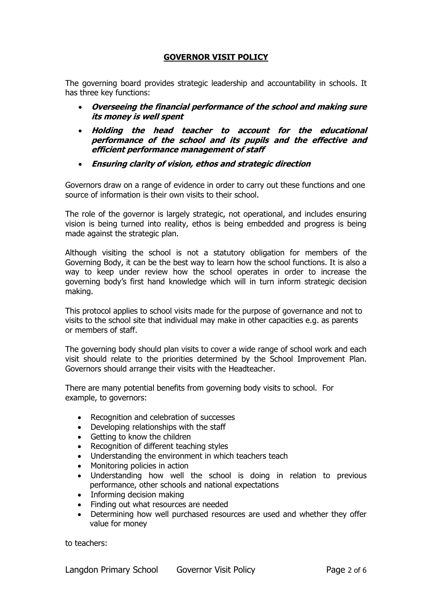### **GOVERNOR VISIT POLICY**

The governing board provides strategic leadership and accountability in schools. It has three key functions:

- **Overseeing the financial performance of the school and making sure its money is well spent**
- **Holding the head teacher to account for the educational performance of the school and its pupils and the effective and efficient performance management of staff**
- **Ensuring clarity of vision, ethos and strategic direction**

Governors draw on a range of evidence in order to carry out these functions and one source of information is their own visits to their school.

The role of the governor is largely strategic, not operational, and includes ensuring vision is being turned into reality, ethos is being embedded and progress is being made against the strategic plan.

Although visiting the school is not a statutory obligation for members of the Governing Body, it can be the best way to learn how the school functions. It is also a way to keep under review how the school operates in order to increase the governing body's first hand knowledge which will in turn inform strategic decision making.

This protocol applies to school visits made for the purpose of governance and not to visits to the school site that individual may make in other capacities e.g. as parents or members of staff.

The governing body should plan visits to cover a wide range of school work and each visit should relate to the priorities determined by the School Improvement Plan. Governors should arrange their visits with the Headteacher.

There are many potential benefits from governing body visits to school. For example, to governors:

- Recognition and celebration of successes
- Developing relationships with the staff
- Getting to know the children
- Recognition of different teaching styles
- Understanding the environment in which teachers teach
- Monitoring policies in action
- Understanding how well the school is doing in relation to previous performance, other schools and national expectations
- Informing decision making
- Finding out what resources are needed
- Determining how well purchased resources are used and whether they offer value for money

to teachers: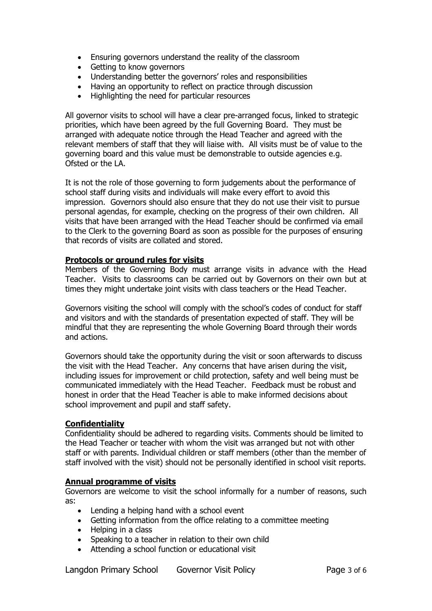- Ensuring governors understand the reality of the classroom
- Getting to know governors
- Understanding better the governors' roles and responsibilities
- Having an opportunity to reflect on practice through discussion
- Highlighting the need for particular resources

All governor visits to school will have a clear pre-arranged focus, linked to strategic priorities, which have been agreed by the full Governing Board. They must be arranged with adequate notice through the Head Teacher and agreed with the relevant members of staff that they will liaise with. All visits must be of value to the governing board and this value must be demonstrable to outside agencies e.g. Ofsted or the LA.

It is not the role of those governing to form judgements about the performance of school staff during visits and individuals will make every effort to avoid this impression. Governors should also ensure that they do not use their visit to pursue personal agendas, for example, checking on the progress of their own children. All visits that have been arranged with the Head Teacher should be confirmed via email to the Clerk to the governing Board as soon as possible for the purposes of ensuring that records of visits are collated and stored.

#### **Protocols or ground rules for visits**

Members of the Governing Body must arrange visits in advance with the Head Teacher. Visits to classrooms can be carried out by Governors on their own but at times they might undertake joint visits with class teachers or the Head Teacher.

Governors visiting the school will comply with the school's codes of conduct for staff and visitors and with the standards of presentation expected of staff. They will be mindful that they are representing the whole Governing Board through their words and actions.

Governors should take the opportunity during the visit or soon afterwards to discuss the visit with the Head Teacher. Any concerns that have arisen during the visit, including issues for improvement or child protection, safety and well being must be communicated immediately with the Head Teacher. Feedback must be robust and honest in order that the Head Teacher is able to make informed decisions about school improvement and pupil and staff safety.

#### **Confidentiality**

Confidentiality should be adhered to regarding visits. Comments should be limited to the Head Teacher or teacher with whom the visit was arranged but not with other staff or with parents. Individual children or staff members (other than the member of staff involved with the visit) should not be personally identified in school visit reports.

#### **Annual programme of visits**

Governors are welcome to visit the school informally for a number of reasons, such as:

- Lending a helping hand with a school event
- Getting information from the office relating to a committee meeting
- Helping in a class
- Speaking to a teacher in relation to their own child
- Attending a school function or educational visit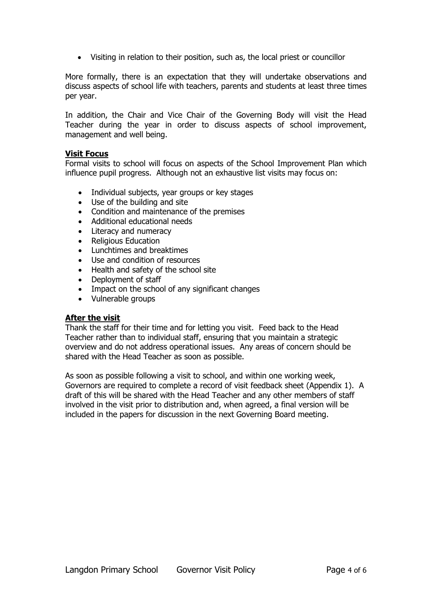• Visiting in relation to their position, such as, the local priest or councillor

More formally, there is an expectation that they will undertake observations and discuss aspects of school life with teachers, parents and students at least three times per year.

In addition, the Chair and Vice Chair of the Governing Body will visit the Head Teacher during the year in order to discuss aspects of school improvement, management and well being.

#### **Visit Focus**

Formal visits to school will focus on aspects of the School Improvement Plan which influence pupil progress. Although not an exhaustive list visits may focus on:

- Individual subjects, year groups or key stages
- Use of the building and site
- Condition and maintenance of the premises
- Additional educational needs
- Literacy and numeracy
- Religious Education
- Lunchtimes and breaktimes
- Use and condition of resources
- Health and safety of the school site
- Deployment of staff
- Impact on the school of any significant changes
- Vulnerable groups

#### **After the visit**

Thank the staff for their time and for letting you visit. Feed back to the Head Teacher rather than to individual staff, ensuring that you maintain a strategic overview and do not address operational issues. Any areas of concern should be shared with the Head Teacher as soon as possible.

As soon as possible following a visit to school, and within one working week, Governors are required to complete a record of visit feedback sheet (Appendix 1). A draft of this will be shared with the Head Teacher and any other members of staff involved in the visit prior to distribution and, when agreed, a final version will be included in the papers for discussion in the next Governing Board meeting.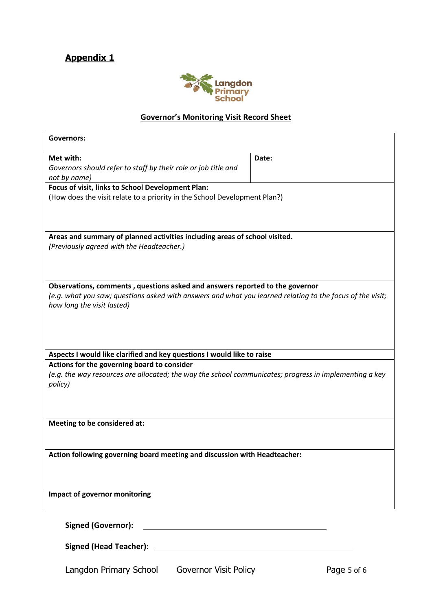# **Appendix 1**



## **Governor's Monitoring Visit Record Sheet**

| <b>Governors:</b>                                                                                                                                                                                                                          |             |  |
|--------------------------------------------------------------------------------------------------------------------------------------------------------------------------------------------------------------------------------------------|-------------|--|
| Met with:<br>Governors should refer to staff by their role or job title and<br>not by name)                                                                                                                                                | Date:       |  |
| Focus of visit, links to School Development Plan:<br>(How does the visit relate to a priority in the School Development Plan?)                                                                                                             |             |  |
| Areas and summary of planned activities including areas of school visited.<br>(Previously agreed with the Headteacher.)                                                                                                                    |             |  |
| Observations, comments, questions asked and answers reported to the governor<br>(e.g. what you saw; questions asked with answers and what you learned relating to the focus of the visit;<br>how long the visit lasted)                    |             |  |
| Aspects I would like clarified and key questions I would like to raise<br>Actions for the governing board to consider<br>(e.g. the way resources are allocated; the way the school communicates; progress in implementing a key<br>policy) |             |  |
| Meeting to be considered at:                                                                                                                                                                                                               |             |  |
| Action following governing board meeting and discussion with Headteacher:                                                                                                                                                                  |             |  |
| Impact of governor monitoring                                                                                                                                                                                                              |             |  |
| <b>Signed (Governor):</b>                                                                                                                                                                                                                  |             |  |
|                                                                                                                                                                                                                                            |             |  |
| Langdon Primary School<br><b>Governor Visit Policy</b>                                                                                                                                                                                     | Page 5 of 6 |  |